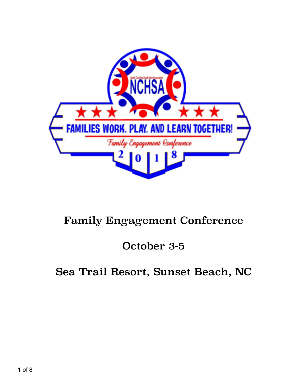

# Family Engagement Conference

October 3-5

Sea Trail Resort, Sunset Beach, NC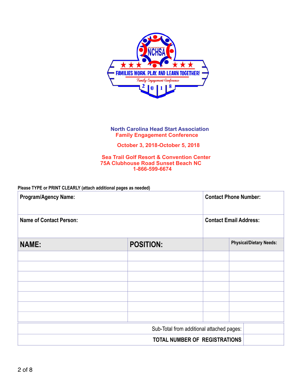

#### **North Carolina Head Start Association Family Engagement Conference**

 **October 3, 2018-October 5, 2018**

 **Sea Trail Golf Resort & Convention Center [75A Clubhouse Road Sunset Beach NC](javascript:void(0))  1-866-599-6674** 

#### **Please TYPE or PRINT CLEARLY (attach additional pages as needed)**

| <b>Program/Agency Name:</b>               |                  | <b>Contact Phone Number:</b>  |                                |
|-------------------------------------------|------------------|-------------------------------|--------------------------------|
| <b>Name of Contact Person:</b>            |                  | <b>Contact Email Address:</b> |                                |
| <b>NAME:</b>                              | <b>POSITION:</b> |                               | <b>Physical/Dietary Needs:</b> |
|                                           |                  |                               |                                |
|                                           |                  |                               |                                |
|                                           |                  |                               |                                |
|                                           |                  |                               |                                |
|                                           |                  |                               |                                |
|                                           |                  |                               |                                |
|                                           |                  |                               |                                |
| Sub-Total from additional attached pages: |                  |                               |                                |
| TOTAL NUMBER OF REGISTRATIONS             |                  |                               |                                |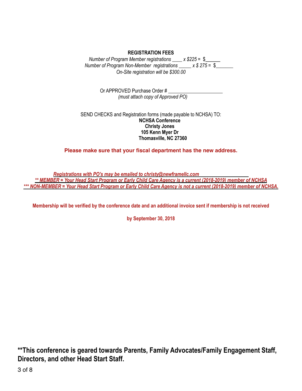#### **REGISTRATION FEES**

*Number of Program Member registrations \_\_\_\_ x \$225 =* \$*\_\_\_\_\_\_* *Number of Program Non-Member registrations \_\_\_\_\_ x \$ 275 =* \$*\_\_\_\_\_\_\_ On-Site registration will be \$300.00* 

> Or APPROVED Purchase Order # \_\_\_\_\_\_\_\_\_\_\_\_\_\_\_\_\_\_\_\_\_\_ *(must attach copy of Approved PO)*

SEND CHECKS and Registration forms (made payable to NCHSA) TO: **NCHSA Conference Christy Jones 105 Kenn Myer Dr Thomasville, NC 27360** 

**Please make sure that your fiscal department has the new address.** 

*Registrations with PO's may be emailed to christy@newframellc.com \*\* MEMBER = Your Head Start Program or Early Child Care Agency is a current (2018-2019) member of NCHSA \*\*\* NON-MEMBER = Your Head Start Program or Early Child Care Agency is not a current (2018-2019) member of NCHSA.* 

**Membership will be verified by the conference date and an additional invoice sent if membership is not received** 

**by September 30, 2018** 

**\*\*This conference is geared towards Parents, Family Advocates/Family Engagement Staff, Directors, and other Head Start Staff.**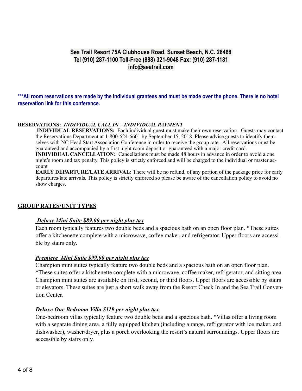## **Sea Trail Resort 75A Clubhouse Road, Sunset Beach, N.C. 28468 Tel (910) 287-1100 Toll-Free (888) 321-9048 Fax: (910) 287-1181 [info@seatrail.com](mailto:info@seatrail.com)**

**\*\*\*All room reservations are made by the individual grantees and must be made over the phone. There is no hotel reservation link for this conference.** 

#### **RESERVATIONS:** *INDIVIDUAL CALL IN – INDIVIDUAL PAYMENT*

**INDIVIDUAL RESERVATIONS:** Each individual guest must make their own reservation. Guests may contact the Reservations Department at 1-800-624-6601 by September 15, 2018. Please advise guests to identify themselves with NC Head Start Association Conference in order to receive the group rate. All reservations must be guaranteed and accompanied by a first night room deposit or guaranteed with a major credit card. **INDIVIDUAL CANCELLATION:** Cancellations must be made 48 hours in advance in order to avoid a one night's room and tax penalty. This policy is strictly enforced and will be charged to the individual or master account

**EARLY DEPARTURE/LATE ARRIVAL:** There will be no refund, of any portion of the package price for early departures/late arrivals. This policy is strictly enforced so please be aware of the cancellation policy to avoid no show charges.

#### **GROUP RATES/UNIT TYPES**

#### *Deluxe Mini Suite \$89.00 per night plus tax*

Each room typically features two double beds and a spacious bath on an open floor plan. \*These suites offer a kitchenette complete with a microwave, coffee maker, and refrigerator. Upper floors are accessible by stairs only.

#### *Premiere Mini Suite \$99.00 per night plus tax*

Champion mini suites typically feature two double beds and a spacious bath on an open floor plan. \*These suites offer a kitchenette complete with a microwave, coffee maker, refrigerator, and sitting area. Champion mini suites are available on first, second, or third floors. Upper floors are accessible by stairs or elevators. These suites are just a short walk away from the Resort Check In and the Sea Trail Convention Center.

#### *Deluxe One Bedroom Villa \$119 per night plus tax*

One-bedroom villas typically feature two double beds and a spacious bath. \*Villas offer a living room with a separate dining area, a fully equipped kitchen (including a range, refrigerator with ice maker, and dishwasher), washer/dryer, plus a porch overlooking the resort's natural surroundings. Upper floors are accessible by stairs only.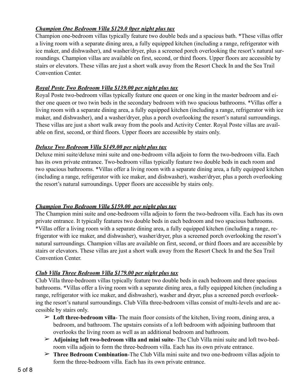## *Champion One Bedroom Villa \$129.0 0per night plus tax*

Champion one-bedroom villas typically feature two double beds and a spacious bath. \*These villas offer a living room with a separate dining area, a fully equipped kitchen (including a range, refrigerator with ice maker, and dishwasher), and washer/dryer, plus a screened porch overlooking the resort's natural surroundings*.* Champion villas are available on first, second, or third floors. Upper floors are accessible by stairs or elevators. These villas are just a short walk away from the Resort Check In and the Sea Trail Convention Center.

## *Royal Poste Two Bedroom Villa \$139.00 per night plus tax*

Royal Poste two-bedroom villas typically feature one queen or one king in the master bedroom and either one queen or two twin beds in the secondary bedroom with two spacious bathrooms. \*Villas offer a living room with a separate dining area, a fully equipped kitchen (including a range, refrigerator with ice maker, and dishwasher), and a washer/dryer, plus a porch overlooking the resort's natural surroundings. These villas are just a short walk away from the pools and Activity Center. Royal Poste villas are available on first, second, or third floors. Upper floors are accessible by stairs only.

#### *Deluxe Two Bedroom Villa \$149.00 per night plus tax*

Deluxe mini suite/deluxe mini suite and one-bedroom villa adjoin to form the two-bedroom villa. Each has its own private entrance. Two-bedroom villas typically feature two double beds in each room and two spacious bathrooms. \*Villas offer a living room with a separate dining area, a fully equipped kitchen (including a range, refrigerator with ice maker, and dishwasher), washer/dryer, plus a porch overlooking the resort's natural surroundings. Upper floors are accessible by stairs only.

## *Champion Two Bedroom Villa \$159.00 per night plus tax*

The Champion mini suite and one-bedroom villa adjoin to form the two-bedroom villa. Each has its own private entrance. It typically features two double beds in each bedroom and two spacious bathrooms. \*Villas offer a living room with a separate dining area, a fully equipped kitchen (including a range, refrigerator with ice maker, and dishwasher), washer/dryer, plus a screened porch overlooking the resort's natural surroundings. Champion villas are available on first, second, or third floors and are accessible by stairs or elevators. These villas are just a short walk away from the Resort Check In and the Sea Trail Convention Center.

#### *Club Villa Three Bedroom Villa \$179.00 per night plus tax*

Club Villa three-bedroom villas typically feature two double beds in each bedroom and three spacious bathrooms. \*Villas offer a living room with a separate dining area, a fully equipped kitchen (including a range, refrigerator with ice maker, and dishwasher), washer and dryer, plus a screened porch overlooking the resort's natural surroundings. Club Villa three-bedroom villas consist of multi-levels and are accessible by stairs only.

- $\geq$  Loft three-bedroom villa- The main floor consists of the kitchen, living room, dining area, a bedroom, and bathroom. The upstairs consists of a loft bedroom with adjoining bathroom that overlooks the living room as well as an additional bedroom and bathroom.
- ➢ **Adjoining loft two-bedroom villa and mini suite** The Club Villa mini suite and loft two-bedroom villa adjoin to form the three-bedroom villa. Each has its own private entrance.
- ➢ **Three Bedroom Combination**-The Club Villa mini suite and two one-bedroom villas adjoin to form the three-bedroom villa. Each has its own private entrance.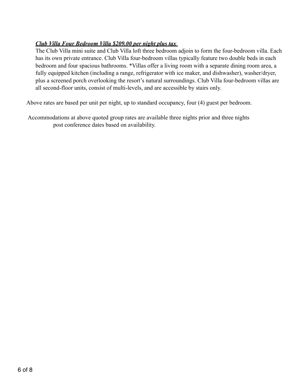## *Club Villa Four Bedroom Villa \$209.00 per night plus tax*

The Club Villa mini suite and Club Villa loft three bedroom adjoin to form the four-bedroom villa. Each has its own private entrance. Club Villa four-bedroom villas typically feature two double beds in each bedroom and four spacious bathrooms. \*Villas offer a living room with a separate dining room area, a fully equipped kitchen (including a range, refrigerator with ice maker, and dishwasher), washer/dryer, plus a screened porch overlooking the resort's natural surroundings. Club Villa four-bedroom villas are all second-floor units, consist of multi-levels, and are accessible by stairs only.

Above rates are based per unit per night, up to standard occupancy, four (4) guest per bedroom.

 Accommodations at above quoted group rates are available three nights prior and three nights post conference dates based on availability.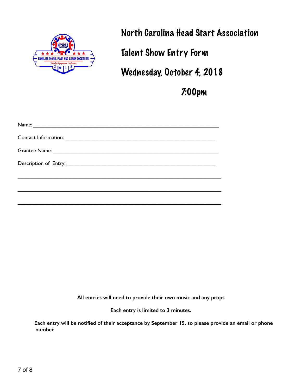

North Carolina Head Start Association

Talent Show Entry Form

Wednesday, October 4, 2018

7:00pm

 $\mathcal{L}_\text{max}$  and  $\mathcal{L}_\text{max}$  and  $\mathcal{L}_\text{max}$  and  $\mathcal{L}_\text{max}$  and  $\mathcal{L}_\text{max}$  and  $\mathcal{L}_\text{max}$ 

**All entries will need to provide their own music and any props** 

**Each entry is limited to 3 minutes.** 

 **Each entry will be notified of their acceptance by September 15, so please provide an email or phone number**